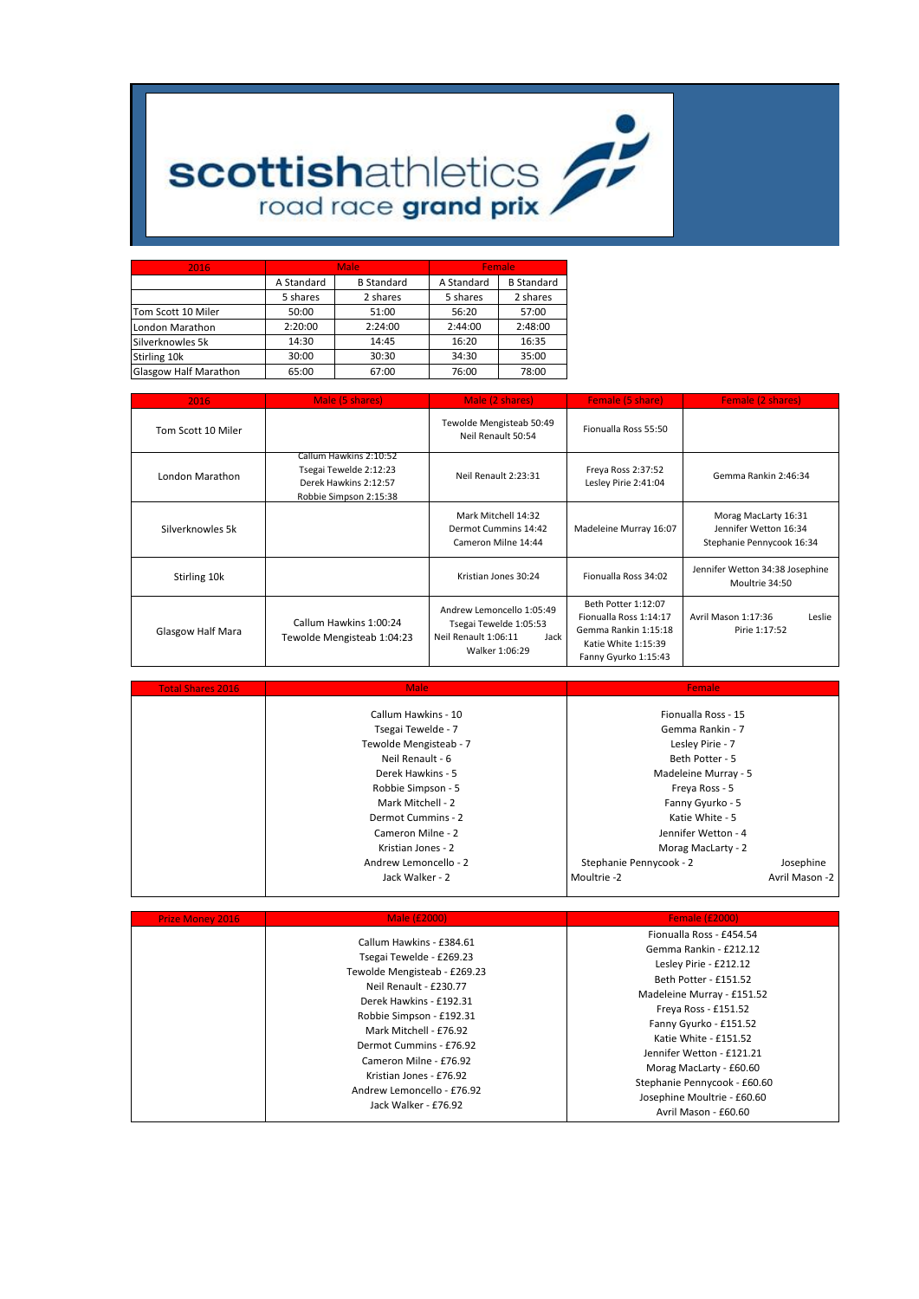

## **scottishathletics**

| 2016                         |            | <b>Male</b>       | Female     |                   |  |  |
|------------------------------|------------|-------------------|------------|-------------------|--|--|
|                              | A Standard | <b>B</b> Standard | A Standard | <b>B</b> Standard |  |  |
|                              | 5 shares   | 2 shares          | 5 shares   | 2 shares          |  |  |
| Tom Scott 10 Miler           | 50:00      | 51:00             | 56:20      | 57:00             |  |  |
| London Marathon              | 2:20:00    | 2:24:00           | 2:44:00    | 2:48:00           |  |  |
| Silverknowles 5k             | 14:30      | 14:45             | 16:20      | 16:35             |  |  |
| Stirling 10k                 | 30:00      | 30:30             | 34:30      | 35:00             |  |  |
| <b>Glasgow Half Marathon</b> | 65:00      | 67:00             | 76:00      | 78:00             |  |  |

| 2016                     | Male (5 shares)                                                                                     | Female (5 share)                                                                                      | Female (2 shares)                                                                                                    |                                                                            |  |  |
|--------------------------|-----------------------------------------------------------------------------------------------------|-------------------------------------------------------------------------------------------------------|----------------------------------------------------------------------------------------------------------------------|----------------------------------------------------------------------------|--|--|
| Tom Scott 10 Miler       |                                                                                                     | Tewolde Mengisteab 50:49<br>Neil Renault 50:54                                                        | Fionualla Ross 55:50                                                                                                 |                                                                            |  |  |
| London Marathon          | Callum Hawkins 2:10:52<br>Tsegai Tewelde 2:12:23<br>Derek Hawkins 2:12:57<br>Robbie Simpson 2:15:38 | Neil Renault 2:23:31                                                                                  | Freya Ross 2:37:52<br>Lesley Pirie 2:41:04                                                                           | Gemma Rankin 2:46:34                                                       |  |  |
| Silverknowles 5k         |                                                                                                     | Mark Mitchell 14:32<br>Dermot Cummins 14:42<br>Cameron Milne 14:44                                    | Madeleine Murray 16:07                                                                                               | Morag MacLarty 16:31<br>Jennifer Wetton 16:34<br>Stephanie Pennycook 16:34 |  |  |
| Stirling 10k             |                                                                                                     | Kristian Jones 30:24                                                                                  | Fionualla Ross 34:02                                                                                                 | Jennifer Wetton 34:38 Josephine<br>Moultrie 34:50                          |  |  |
| <b>Glasgow Half Mara</b> | Callum Hawkins 1:00:24<br>Tewolde Mengisteab 1:04:23                                                | Andrew Lemoncello 1:05:49<br>Tsegai Tewelde 1:05:53<br>Jack<br>Neil Renault 1:06:11<br>Walker 1:06:29 | Beth Potter 1:12:07<br>Fionualla Ross 1:14:17<br>Gemma Rankin 1:15:18<br>Katie White 1:15:39<br>Fanny Gyurko 1:15:43 | Avril Mason 1:17:36<br>Leslie<br>Pirie 1:17:52                             |  |  |

| <b>Total Shares 2016</b> | <b>Male</b>            | Female                  |                     |  |  |  |  |  |
|--------------------------|------------------------|-------------------------|---------------------|--|--|--|--|--|
|                          | Callum Hawkins - 10    | Fionualla Ross - 15     |                     |  |  |  |  |  |
|                          | Tsegai Tewelde - 7     |                         | Gemma Rankin - 7    |  |  |  |  |  |
|                          | Tewolde Mengisteab - 7 | Lesley Pirie - 7        |                     |  |  |  |  |  |
|                          | Neil Renault - 6       | Beth Potter - 5         |                     |  |  |  |  |  |
|                          | Derek Hawkins - 5      | Madeleine Murray - 5    |                     |  |  |  |  |  |
|                          | Robbie Simpson - 5     | Freya Ross - 5          |                     |  |  |  |  |  |
|                          | Mark Mitchell - 2      |                         | Fanny Gyurko - 5    |  |  |  |  |  |
|                          | Dermot Cummins - 2     |                         | Katie White - 5     |  |  |  |  |  |
|                          | Cameron Milne - 2      |                         | Jennifer Wetton - 4 |  |  |  |  |  |
|                          | Kristian Jones - 2     |                         | Morag MacLarty - 2  |  |  |  |  |  |
|                          | Andrew Lemoncello - 2  | Stephanie Pennycook - 2 | Josephine           |  |  |  |  |  |
|                          | Jack Walker - 2        | Moultrie -2             | Avril Mason -2      |  |  |  |  |  |

| <b>Prize Money 2016</b> | Male (£2000)                                                                                                                                                                                                                                                                                                                          | <b>Female (£2000)</b>                                                                                                                                                                                                                                                                                                                                         |
|-------------------------|---------------------------------------------------------------------------------------------------------------------------------------------------------------------------------------------------------------------------------------------------------------------------------------------------------------------------------------|---------------------------------------------------------------------------------------------------------------------------------------------------------------------------------------------------------------------------------------------------------------------------------------------------------------------------------------------------------------|
|                         | Callum Hawkins - £384.61<br>Tsegai Tewelde - £269.23<br>Tewolde Mengisteab - £269.23<br>Neil Renault - £230.77<br>Derek Hawkins - £192.31<br>Robbie Simpson - £192.31<br>Mark Mitchell - £76.92<br>Dermot Cummins - £76.92<br>Cameron Milne - £76.92<br>Kristian Jones - £76.92<br>Andrew Lemoncello - £76.92<br>Jack Walker - £76.92 | Fionualla Ross - £454.54<br>Gemma Rankin - £212.12<br>Lesley Pirie - £212.12<br>Beth Potter - £151.52<br>Madeleine Murray - £151.52<br>Freya Ross - £151.52<br>Fanny Gyurko - £151.52<br>Katie White - £151.52<br>Jennifer Wetton - £121.21<br>Morag MacLarty - £60.60<br>Stephanie Pennycook - £60.60<br>Josephine Moultrie - £60.60<br>Avril Mason - £60.60 |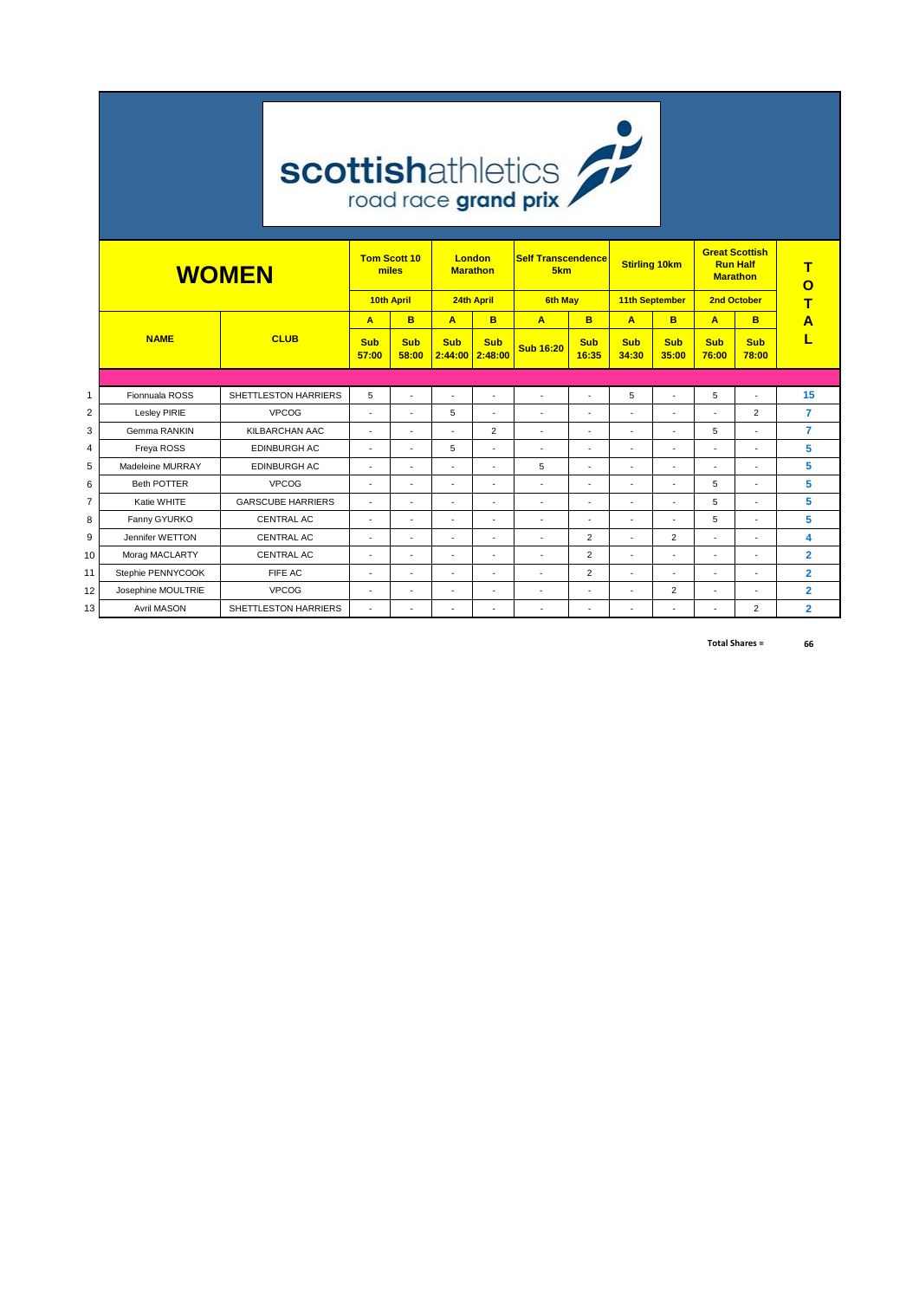|                 | <b>scottishathletics</b> |             |                          |                          |                                                                                               |                                 |                          |                      |                      |                     |                                                             |                      |                     |                |
|-----------------|--------------------------|-------------|--------------------------|--------------------------|-----------------------------------------------------------------------------------------------|---------------------------------|--------------------------|----------------------|----------------------|---------------------|-------------------------------------------------------------|----------------------|---------------------|----------------|
|                 | <b>WOMEN</b>             |             |                          |                          | <b>Tom Scott 10</b><br>London<br><b>Self Transcendence</b><br>miles<br>5km<br><b>Marathon</b> |                                 |                          | <b>Stirling 10km</b> |                      |                     | <b>Great Scottish</b><br><b>Run Half</b><br><b>Marathon</b> | т<br>O               |                     |                |
|                 |                          |             |                          |                          | <b>10th April</b>                                                                             |                                 | 24th April               | <b>6th May</b>       |                      | 11th September      |                                                             |                      | 2nd October         |                |
|                 |                          |             |                          | A                        | B                                                                                             | A                               | B                        | A                    | B                    | A                   | B                                                           | A                    | B                   | Α              |
|                 | <b>NAME</b>              | <b>CLUB</b> |                          | <b>Sub</b><br>57:00      | <b>Sub</b><br>58:00                                                                           | <b>Sub</b><br>$2:44:00$ 2:48:00 | <b>Sub</b>               | <b>Sub 16:20</b>     | <b>Sub</b><br>16:35  | <b>Sub</b><br>34:30 | <b>Sub</b><br>35:00                                         | <b>Sub</b><br>76:00  | <b>Sub</b><br>78:00 |                |
|                 |                          |             |                          |                          |                                                                                               |                                 |                          |                      |                      |                     |                                                             |                      |                     |                |
| 1               | Fionnuala ROSS           |             | SHETTLESTON HARRIERS     | 5                        | ÷,                                                                                            | $\ddot{\phantom{1}}$            | $\overline{\phantom{a}}$ | ÷,                   | $\ddot{\phantom{1}}$ | 5                   | $\overline{\phantom{a}}$                                    | 5                    | ÷.                  | 15             |
| 2               | Lesley PIRIE             |             | <b>VPCOG</b>             | $\ddot{\phantom{1}}$     | ä                                                                                             | 5                               | $\ddot{\phantom{1}}$     | ÷.                   | ٠                    |                     |                                                             |                      | $\overline{2}$      | $\overline{7}$ |
| 3               | Gemma RANKIN             |             | KILBARCHAN AAC           | $\sim$                   | ÷.                                                                                            | ÷.                              | $\overline{2}$           | $\sim$               | ÷                    | ÷.                  | ÷                                                           | 5                    | ÷.                  | $\overline{7}$ |
| 4               | Freya ROSS               |             | EDINBURGH AC             | $\overline{\phantom{a}}$ | $\ddot{\phantom{1}}$                                                                          | 5                               | $\ddot{\phantom{1}}$     | ÷.                   | ÷.                   | $\sim$              | ÷,                                                          |                      | ä,                  | 5              |
| 5               | Madeleine MURRAY         |             | EDINBURGH AC             | ٠                        | $\ddot{\phantom{1}}$                                                                          | $\ddot{\phantom{1}}$            |                          | 5                    | ٠                    |                     | ٠                                                           |                      |                     | 5              |
| 6               | <b>Beth POTTER</b>       |             | <b>VPCOG</b>             | $\sim$                   | $\ddot{\phantom{1}}$                                                                          | $\ddot{\phantom{1}}$            | $\overline{\phantom{a}}$ | ÷.                   | $\ddot{\phantom{1}}$ | $\sim$              | $\ddot{\phantom{1}}$                                        | 5                    | ä,                  | 5              |
| $\overline{7}$  | Katie WHITE              |             | <b>GARSCUBE HARRIERS</b> | $\overline{\phantom{a}}$ | $\ddot{\phantom{1}}$                                                                          | ä,                              | $\ddot{\phantom{1}}$     | $\ddot{\phantom{1}}$ | ÷.                   | $\sim$              | ÷,                                                          | 5                    | ä,                  | 5              |
| 8               | Fanny GYURKO             |             | <b>CENTRAL AC</b>        | $\sim$                   | ÷,                                                                                            | ÷,                              | ٠                        | $\ddot{\phantom{1}}$ | ٠                    | $\sim$              |                                                             | 5                    |                     | 5              |
| 9               | Jennifer WETTON          |             | <b>CENTRAL AC</b>        | $\ddot{\phantom{1}}$     | $\ddot{\phantom{1}}$                                                                          | ä,                              |                          | ÷,                   | $\overline{2}$       | $\sim$              | $\overline{2}$                                              |                      |                     | 4              |
| 10              | Morag MACLARTY           |             | CENTRAL AC               | $\sim$                   | ä,                                                                                            | ä,                              | $\overline{\phantom{a}}$ | ÷.                   | $\overline{2}$       | $\blacksquare$      | $\sim$                                                      | $\ddot{\phantom{1}}$ | ä,                  | $\overline{2}$ |
| 11              | Stephie PENNYCOOK        |             | FIFE AC                  | $\overline{a}$           | ÷,                                                                                            | ٠                               | $\overline{a}$           |                      | $\overline{2}$       | $\sim$              | ÷,                                                          | ٠                    |                     | $\overline{2}$ |
| 12 <sub>1</sub> | Josephine MOULTRIE       |             | <b>VPCOG</b>             | $\overline{a}$           | $\ddot{\phantom{1}}$                                                                          | ä,                              |                          | ÷.                   | $\ddot{\phantom{1}}$ | $\sim$              | $\overline{2}$                                              |                      |                     | $\overline{2}$ |
| 13              | <b>Avril MASON</b>       |             | SHETTLESTON HARRIERS     | $\overline{\phantom{a}}$ | $\ddot{\phantom{1}}$                                                                          | $\ddot{\phantom{1}}$            |                          | $\ddot{\phantom{1}}$ | $\ddot{\phantom{1}}$ | $\sim$              | $\ddot{\phantom{1}}$                                        |                      | $\overline{2}$      | $\overline{2}$ |

**66 Total Shares =**